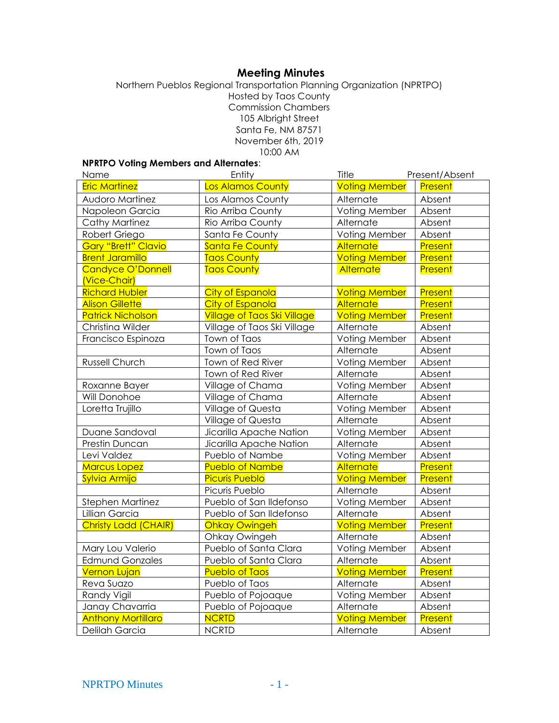# **Meeting Minutes**

Northern Pueblos Regional Transportation Planning Organization (NPRTPO) Hosted by Taos County Commission Chambers 105 Albright Street Santa Fe, NM 87571 November 6th, 2019 10:00 AM

# **NPRTPO Voting Members and Alternates**:

| Name                        | Entity                             | Title                | Present/Absent |
|-----------------------------|------------------------------------|----------------------|----------------|
| <b>Eric Martinez</b>        | Los Alamos County                  | <b>Voting Member</b> | Present        |
| <b>Audoro Martinez</b>      | Los Alamos County                  | Alternate            | Absent         |
| Napoleon Garcia             | Rio Arriba County                  | Voting Member        | Absent         |
| Cathy Martinez              | Rio Arriba County                  | Alternate            | Absent         |
| Robert Griego               | Santa Fe County                    | Voting Member        | Absent         |
| <b>Gary "Brett" Clavio</b>  | Santa Fe County                    | <b>Alternate</b>     | Present        |
| <b>Brent Jaramillo</b>      | <b>Taos County</b>                 | <b>Voting Member</b> | Present        |
| Candyce O'Donnell           | <b>Taos County</b>                 | <b>Alternate</b>     | Present        |
| (Vice-Chair)                |                                    |                      |                |
| <b>Richard Hubler</b>       | <b>City of Espanola</b>            | <b>Voting Member</b> | Present        |
| <b>Alison Gillette</b>      | City of Espanola                   | <b>Alternate</b>     | Present        |
| <b>Patrick Nicholson</b>    | <b>Village of Taos Ski Village</b> | <b>Voting Member</b> | Present        |
| Christina Wilder            | Village of Taos Ski Village        | Alternate            | Absent         |
| Francisco Espinoza          | Town of Taos                       | Voting Member        | Absent         |
|                             | Town of Taos                       | Alternate            | Absent         |
| <b>Russell Church</b>       | Town of Red River                  | Voting Member        | Absent         |
|                             | Town of Red River                  | Alternate            | Absent         |
| Roxanne Bayer               | Village of Chama                   | Voting Member        | Absent         |
| Will Donohoe                | Village of Chama                   | Alternate            | Absent         |
| Loretta Trujillo            | Village of Questa                  | Voting Member        | Absent         |
|                             | Village of Questa                  | Alternate            | Absent         |
| Duane Sandoval              | Jicarilla Apache Nation            | Voting Member        | Absent         |
| Prestin Duncan              | Jicarilla Apache Nation            | Alternate            | Absent         |
| Levi Valdez                 | Pueblo of Nambe                    | Voting Member        | Absent         |
| <b>Marcus Lopez</b>         | <b>Pueblo of Nambe</b>             | <b>Alternate</b>     | Present        |
| Sylvia Armijo               | <b>Picuris Pueblo</b>              | <b>Voting Member</b> | Present        |
|                             | Picuris Pueblo                     | Alternate            | Absent         |
| Stephen Martinez            | Pueblo of San Ildefonso            | Voting Member        | Absent         |
| Lillian Garcia              | Pueblo of San Ildefonso            | Alternate            | Absent         |
| <b>Christy Ladd (CHAIR)</b> | <b>Ohkay Owingeh</b>               | <b>Voting Member</b> | Present        |
|                             | Ohkay Owingeh                      | Alternate            | Absent         |
| Mary Lou Valerio            | Pueblo of Santa Clara              | Voting Member        | Absent         |
| <b>Edmund Gonzales</b>      | Pueblo of Santa Clara              | Alternate            | Absent         |
| <b>Vernon Lujan</b>         | <b>Pueblo of Taos</b>              | <b>Voting Member</b> | Present        |
| Reva Suazo                  | Pueblo of Taos                     | Alternate            | Absent         |
| Randy Vigil                 | Pueblo of Pojoaque                 | Voting Member        | Absent         |
| Janay Chavarria             | Pueblo of Pojoaque                 | Alternate            | Absent         |
| <b>Anthony Mortillaro</b>   | <b>NCRTD</b>                       | <b>Voting Member</b> | Present        |
| Delilah Garcia              | <b>NCRTD</b>                       | Alternate            | Absent         |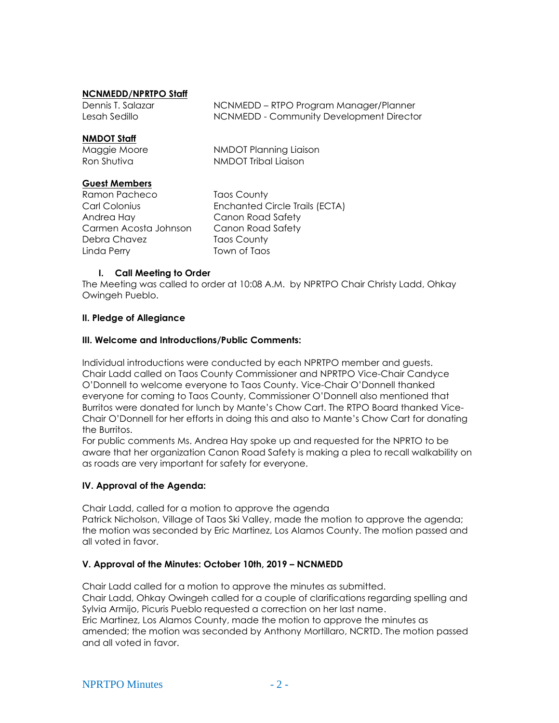### **NCNMEDD/NPRTPO Staff**

| Dennis T. Salazar | NCNMEDD – RTPO Program Manager/Planner   |
|-------------------|------------------------------------------|
| Lesah Sedillo     | NCNMEDD - Community Development Director |

#### **NMDOT Staff**

| Maggie Moore | NMDOT Planning Liaison |
|--------------|------------------------|
| Ron Shutiva  | NMDOT Tribal Liaison   |

## **Guest Members**

Ramon Pacheco Taos County Andrea Hay Canon Road Safety Carmen Acosta Johnson Canon Road Safety Debra Chavez Taos County Linda Perry **Town of Taos** 

Carl Colonius Enchanted Circle Trails (ECTA)

## **I. Call Meeting to Order**

The Meeting was called to order at 10:08 A.M. by NPRTPO Chair Christy Ladd, Ohkay Owingeh Pueblo.

## **II. Pledge of Allegiance**

### **III. Welcome and Introductions/Public Comments:**

Individual introductions were conducted by each NPRTPO member and guests. Chair Ladd called on Taos County Commissioner and NPRTPO Vice-Chair Candyce O'Donnell to welcome everyone to Taos County. Vice-Chair O'Donnell thanked everyone for coming to Taos County, Commissioner O'Donnell also mentioned that Burritos were donated for lunch by Mante's Chow Cart. The RTPO Board thanked Vice-Chair O'Donnell for her efforts in doing this and also to Mante's Chow Cart for donating the Burritos.

For public comments Ms. Andrea Hay spoke up and requested for the NPRTO to be aware that her organization Canon Road Safety is making a plea to recall walkability on as roads are very important for safety for everyone.

## **IV. Approval of the Agenda:**

Chair Ladd, called for a motion to approve the agenda Patrick Nicholson, Village of Taos Ski Valley, made the motion to approve the agenda; the motion was seconded by Eric Martinez, Los Alamos County. The motion passed and all voted in favor.

## **V. Approval of the Minutes: October 10th, 2019 – NCNMEDD**

Chair Ladd called for a motion to approve the minutes as submitted. Chair Ladd, Ohkay Owingeh called for a couple of clarifications regarding spelling and Sylvia Armijo, Picuris Pueblo requested a correction on her last name. Eric Martinez, Los Alamos County, made the motion to approve the minutes as amended; the motion was seconded by Anthony Mortillaro, NCRTD. The motion passed and all voted in favor.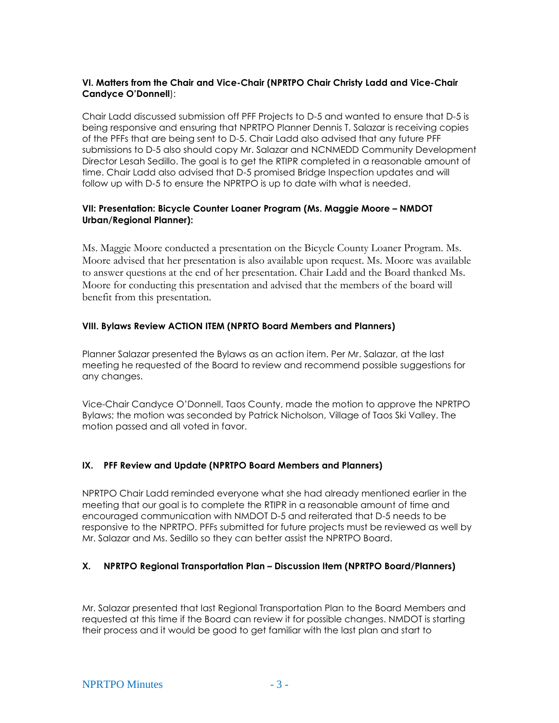# **VI. Matters from the Chair and Vice-Chair (NPRTPO Chair Christy Ladd and Vice-Chair Candyce O'Donnell**):

Chair Ladd discussed submission off PFF Projects to D-5 and wanted to ensure that D-5 is being responsive and ensuring that NPRTPO Planner Dennis T. Salazar is receiving copies of the PFFs that are being sent to D-5. Chair Ladd also advised that any future PFF submissions to D-5 also should copy Mr. Salazar and NCNMEDD Community Development Director Lesah Sedillo. The goal is to get the RTIPR completed in a reasonable amount of time. Chair Ladd also advised that D-5 promised Bridge Inspection updates and will follow up with D-5 to ensure the NPRTPO is up to date with what is needed.

# **VII: Presentation: Bicycle Counter Loaner Program (Ms. Maggie Moore – NMDOT Urban/Regional Planner):**

Ms. Maggie Moore conducted a presentation on the Bicycle County Loaner Program. Ms. Moore advised that her presentation is also available upon request. Ms. Moore was available to answer questions at the end of her presentation. Chair Ladd and the Board thanked Ms. Moore for conducting this presentation and advised that the members of the board will benefit from this presentation.

## **VIII. Bylaws Review ACTION ITEM (NPRTO Board Members and Planners)**

Planner Salazar presented the Bylaws as an action item. Per Mr. Salazar, at the last meeting he requested of the Board to review and recommend possible suggestions for any changes.

Vice-Chair Candyce O'Donnell, Taos County, made the motion to approve the NPRTPO Bylaws; the motion was seconded by Patrick Nicholson, Village of Taos Ski Valley. The motion passed and all voted in favor.

## **IX. PFF Review and Update (NPRTPO Board Members and Planners)**

NPRTPO Chair Ladd reminded everyone what she had already mentioned earlier in the meeting that our goal is to complete the RTIPR in a reasonable amount of time and encouraged communication with NMDOT D-5 and reiterated that D-5 needs to be responsive to the NPRTPO. PFFs submitted for future projects must be reviewed as well by Mr. Salazar and Ms. Sedillo so they can better assist the NPRTPO Board.

## **X. NPRTPO Regional Transportation Plan – Discussion Item (NPRTPO Board/Planners)**

Mr. Salazar presented that last Regional Transportation Plan to the Board Members and requested at this time if the Board can review it for possible changes. NMDOT is starting their process and it would be good to get familiar with the last plan and start to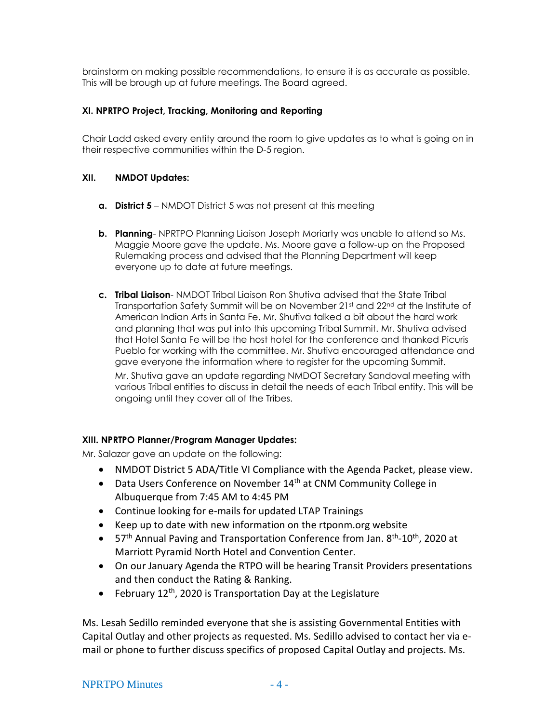brainstorm on making possible recommendations, to ensure it is as accurate as possible. This will be brough up at future meetings. The Board agreed.

# **XI. NPRTPO Project, Tracking, Monitoring and Reporting**

Chair Ladd asked every entity around the room to give updates as to what is going on in their respective communities within the D-5 region.

# **XII. NMDOT Updates:**

- **a. District 5** NMDOT District 5 was not present at this meeting
- **b. Planning** NPRTPO Planning Liaison Joseph Moriarty was unable to attend so Ms. Maggie Moore gave the update. Ms. Moore gave a follow-up on the Proposed Rulemaking process and advised that the Planning Department will keep everyone up to date at future meetings.
- **c. Tribal Liaison** NMDOT Tribal Liaison Ron Shutiva advised that the State Tribal Transportation Safety Summit will be on November 21st and 22<sup>nd</sup> at the Institute of American Indian Arts in Santa Fe. Mr. Shutiva talked a bit about the hard work and planning that was put into this upcoming Tribal Summit. Mr. Shutiva advised that Hotel Santa Fe will be the host hotel for the conference and thanked Picuris Pueblo for working with the committee. Mr. Shutiva encouraged attendance and gave everyone the information where to register for the upcoming Summit.

Mr. Shutiva gave an update regarding NMDOT Secretary Sandoval meeting with various Tribal entities to discuss in detail the needs of each Tribal entity. This will be ongoing until they cover all of the Tribes.

# **XIII. NPRTPO Planner/Program Manager Updates:**

Mr. Salazar gave an update on the following:

- NMDOT District 5 ADA/Title VI Compliance with the Agenda Packet, please view.
- Data Users Conference on November 14<sup>th</sup> at CNM Community College in Albuquerque from 7:45 AM to 4:45 PM
- Continue looking for e-mails for updated LTAP Trainings
- Keep up to date with new information on the rtponm.org website
- 57<sup>th</sup> Annual Paving and Transportation Conference from Jan. 8<sup>th</sup>-10<sup>th</sup>, 2020 at Marriott Pyramid North Hotel and Convention Center.
- On our January Agenda the RTPO will be hearing Transit Providers presentations and then conduct the Rating & Ranking.
- February 12<sup>th</sup>, 2020 is Transportation Day at the Legislature

Ms. Lesah Sedillo reminded everyone that she is assisting Governmental Entities with Capital Outlay and other projects as requested. Ms. Sedillo advised to contact her via email or phone to further discuss specifics of proposed Capital Outlay and projects. Ms.